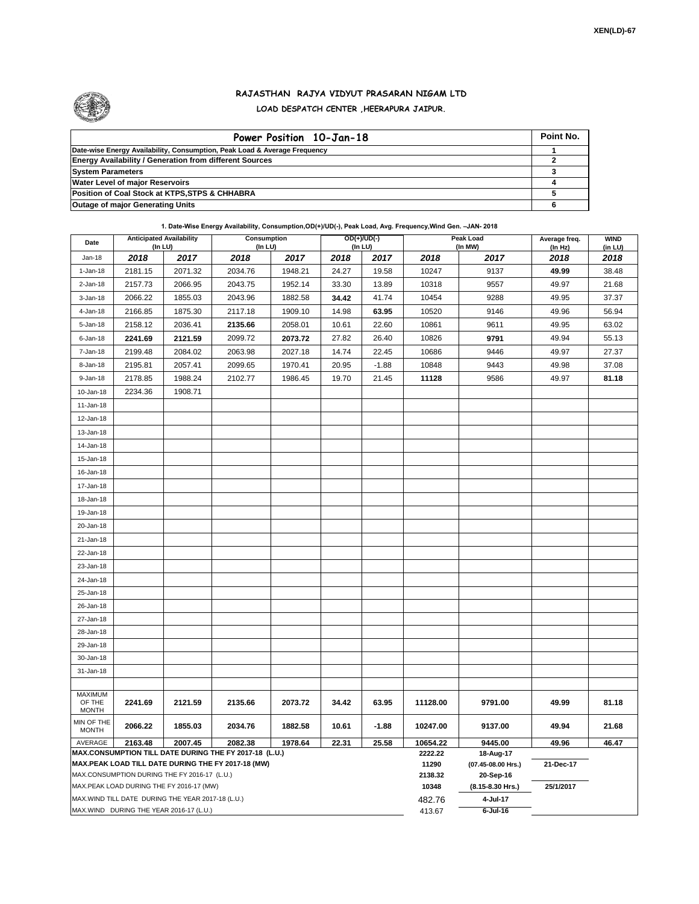

## **RAJASTHAN RAJYA VIDYUT PRASARAN NIGAM LTD LOAD DESPATCH CENTER ,HEERAPURA JAIPUR.**

| Power Position 10-Jan-18                                                  | Point No. |
|---------------------------------------------------------------------------|-----------|
| Date-wise Energy Availability, Consumption, Peak Load & Average Frequency |           |
| <b>Energy Availability / Generation from different Sources</b>            |           |
| <b>System Parameters</b>                                                  |           |
| <b>Water Level of major Reservoirs</b>                                    |           |
| Position of Coal Stock at KTPS, STPS & CHHABRA                            |           |
| <b>Outage of major Generating Units</b>                                   |           |

## **1. Date-Wise Energy Availability, Consumption,OD(+)/UD(-), Peak Load, Avg. Frequency,Wind Gen. –JAN- 2018**

| Date                                                                                               | <b>Anticipated Availability</b><br>(In LU) |         | <b>Consumption</b><br>$($ In LU $)$ |         | $OD(+)/UD(-)$<br>(In LU) |         |                  | <b>Peak Load</b><br>(In MW)     | Average freq.<br>(ln Hz) | <b>WIND</b><br>(in LU) |
|----------------------------------------------------------------------------------------------------|--------------------------------------------|---------|-------------------------------------|---------|--------------------------|---------|------------------|---------------------------------|--------------------------|------------------------|
| $Jan-18$                                                                                           | 2018                                       | 2017    | 2018                                | 2017    | 2018                     | 2017    | 2018             | 2017                            | 2018                     | 2018                   |
| $1-Jan-18$                                                                                         | 2181.15                                    | 2071.32 | 2034.76                             | 1948.21 | 24.27                    | 19.58   | 10247            | 9137                            | 49.99                    | 38.48                  |
| $2$ -Jan-18                                                                                        | 2157.73                                    | 2066.95 | 2043.75                             | 1952.14 | 33.30                    | 13.89   | 10318            | 9557                            | 49.97                    | 21.68                  |
| $3 - Jan-18$                                                                                       | 2066.22                                    | 1855.03 | 2043.96                             | 1882.58 | 34.42                    | 41.74   | 10454            | 9288                            | 49.95                    | 37.37                  |
| 4-Jan-18                                                                                           | 2166.85                                    | 1875.30 | 2117.18                             | 1909.10 | 14.98                    | 63.95   | 10520            | 9146                            | 49.96                    | 56.94                  |
| 5-Jan-18                                                                                           | 2158.12                                    | 2036.41 | 2135.66                             | 2058.01 | 10.61                    | 22.60   | 10861            | 9611                            | 49.95                    | 63.02                  |
| 6-Jan-18                                                                                           | 2241.69                                    | 2121.59 | 2099.72                             | 2073.72 | 27.82                    | 26.40   | 10826            | 9791                            | 49.94                    | 55.13                  |
| 7-Jan-18                                                                                           | 2199.48                                    | 2084.02 | 2063.98                             | 2027.18 | 14.74                    | 22.45   | 10686            | 9446                            | 49.97                    | 27.37                  |
| 8-Jan-18                                                                                           | 2195.81                                    | 2057.41 | 2099.65                             | 1970.41 | 20.95                    | $-1.88$ | 10848            | 9443                            | 49.98                    | 37.08                  |
| 9-Jan-18                                                                                           | 2178.85                                    | 1988.24 | 2102.77                             | 1986.45 | 19.70                    | 21.45   | 11128            | 9586                            | 49.97                    | 81.18                  |
| 10-Jan-18                                                                                          | 2234.36                                    | 1908.71 |                                     |         |                          |         |                  |                                 |                          |                        |
| $11 - Jan-18$                                                                                      |                                            |         |                                     |         |                          |         |                  |                                 |                          |                        |
| 12-Jan-18                                                                                          |                                            |         |                                     |         |                          |         |                  |                                 |                          |                        |
| 13-Jan-18                                                                                          |                                            |         |                                     |         |                          |         |                  |                                 |                          |                        |
| 14-Jan-18                                                                                          |                                            |         |                                     |         |                          |         |                  |                                 |                          |                        |
| 15-Jan-18                                                                                          |                                            |         |                                     |         |                          |         |                  |                                 |                          |                        |
| 16-Jan-18                                                                                          |                                            |         |                                     |         |                          |         |                  |                                 |                          |                        |
| 17-Jan-18                                                                                          |                                            |         |                                     |         |                          |         |                  |                                 |                          |                        |
| 18-Jan-18                                                                                          |                                            |         |                                     |         |                          |         |                  |                                 |                          |                        |
| 19-Jan-18                                                                                          |                                            |         |                                     |         |                          |         |                  |                                 |                          |                        |
| 20-Jan-18                                                                                          |                                            |         |                                     |         |                          |         |                  |                                 |                          |                        |
| 21-Jan-18                                                                                          |                                            |         |                                     |         |                          |         |                  |                                 |                          |                        |
| 22-Jan-18                                                                                          |                                            |         |                                     |         |                          |         |                  |                                 |                          |                        |
| 23-Jan-18                                                                                          |                                            |         |                                     |         |                          |         |                  |                                 |                          |                        |
| 24-Jan-18                                                                                          |                                            |         |                                     |         |                          |         |                  |                                 |                          |                        |
| 25-Jan-18                                                                                          |                                            |         |                                     |         |                          |         |                  |                                 |                          |                        |
| 26-Jan-18                                                                                          |                                            |         |                                     |         |                          |         |                  |                                 |                          |                        |
| 27-Jan-18                                                                                          |                                            |         |                                     |         |                          |         |                  |                                 |                          |                        |
| 28-Jan-18                                                                                          |                                            |         |                                     |         |                          |         |                  |                                 |                          |                        |
| 29-Jan-18                                                                                          |                                            |         |                                     |         |                          |         |                  |                                 |                          |                        |
| 30-Jan-18                                                                                          |                                            |         |                                     |         |                          |         |                  |                                 |                          |                        |
| 31-Jan-18                                                                                          |                                            |         |                                     |         |                          |         |                  |                                 |                          |                        |
|                                                                                                    |                                            |         |                                     |         |                          |         |                  |                                 |                          |                        |
| <b>MAXIMUM</b><br>OF THE<br><b>MONTH</b>                                                           | 2241.69                                    | 2121.59 | 2135.66                             | 2073.72 | 34.42                    | 63.95   | 11128.00         | 9791.00                         | 49.99                    | 81.18                  |
| MIN OF THE<br><b>MONTH</b>                                                                         | 2066.22                                    | 1855.03 | 2034.76                             | 1882.58 | 10.61                    | $-1.88$ | 10247.00         | 9137.00                         | 49.94                    | 21.68                  |
| AVERAGE                                                                                            | 2163.48                                    | 2007.45 | 2082.38                             | 1978.64 | 22.31                    | 25.58   | 10654.22         | 9445.00                         | 49.96                    | 46.47                  |
| MAX.CONSUMPTION TILL DATE DURING THE FY 2017-18 (L.U.)                                             |                                            |         |                                     |         |                          |         | 2222.22          | 18-Aug-17                       |                          |                        |
| MAX.PEAK LOAD TILL DATE DURING THE FY 2017-18 (MW)<br>MAX.CONSUMPTION DURING THE FY 2016-17 (L.U.) |                                            |         |                                     |         |                          |         | 11290<br>2138.32 | (07.45-08.00 Hrs.)<br>20-Sep-16 | 21-Dec-17                |                        |
| MAX.PEAK LOAD DURING THE FY 2016-17 (MW)                                                           |                                            |         |                                     |         |                          |         | 10348            | (8.15-8.30 Hrs.)                | 25/1/2017                |                        |
| MAX. WIND TILL DATE DURING THE YEAR 2017-18 (L.U.)                                                 |                                            |         |                                     |         |                          |         | 482.76           | 4-Jul-17                        |                          |                        |
| MAX.WIND DURING THE YEAR 2016-17 (L.U.)                                                            |                                            |         |                                     |         |                          |         |                  | $6$ -Jul-16                     |                          |                        |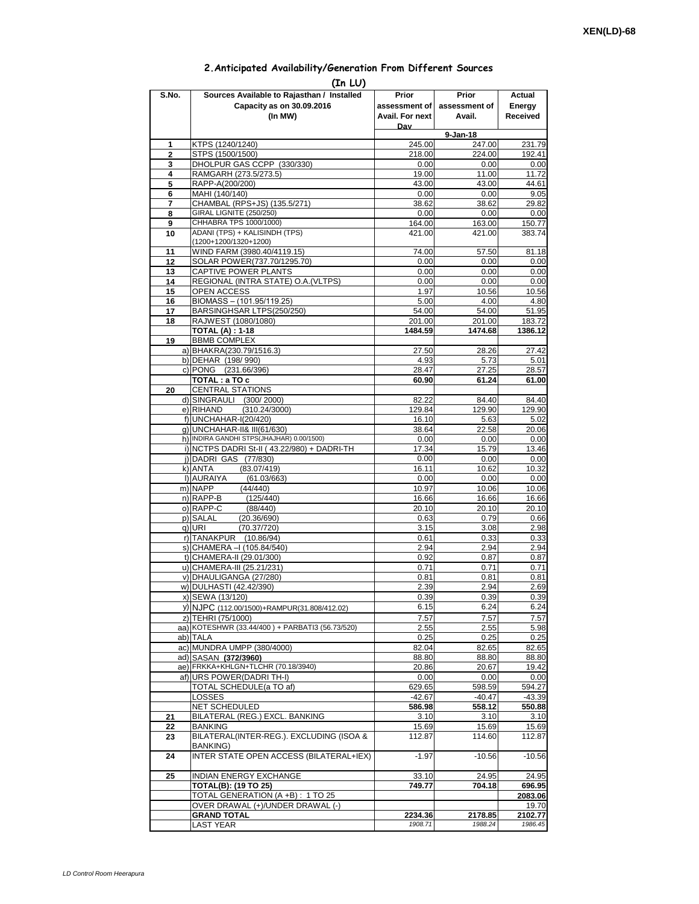## **2.Anticipated Availability/Generation From Different Sources**

| (In LU)        |                                                                                          |                    |                    |                    |  |  |  |  |  |
|----------------|------------------------------------------------------------------------------------------|--------------------|--------------------|--------------------|--|--|--|--|--|
| S.No.          | Sources Available to Rajasthan / Installed                                               | Prior              | Prior              | Actual             |  |  |  |  |  |
|                | Capacity as on 30.09.2016                                                                | assessment of I    | assessment of      | Energy             |  |  |  |  |  |
|                | (In MW)                                                                                  | Avail. For next    | Avail.             | Received           |  |  |  |  |  |
|                |                                                                                          | Dav                | 9-Jan-18           |                    |  |  |  |  |  |
| 1              | KTPS (1240/1240)                                                                         | 245.00             | 247.00             | 231.79             |  |  |  |  |  |
| $\overline{2}$ | STPS (1500/1500)                                                                         | 218.00             | 224.00             | 192.41             |  |  |  |  |  |
| 3              | DHOLPUR GAS CCPP (330/330)                                                               | 0.00               | 0.00               | 0.00               |  |  |  |  |  |
| 4<br>5         | RAMGARH (273.5/273.5)<br>RAPP-A(200/200)                                                 | 19.00<br>43.00     | 11.00<br>43.00     | 11.72<br>44.61     |  |  |  |  |  |
| 6              | MAHI (140/140)                                                                           | 0.00               | 0.00               | 9.05               |  |  |  |  |  |
| 7              | CHAMBAL (RPS+JS) (135.5/271)                                                             | 38.62              | 38.62              | 29.82              |  |  |  |  |  |
| 8              | GIRAL LIGNITE (250/250)                                                                  | 0.00               | 0.00               | 0.00               |  |  |  |  |  |
| 9              | CHHABRA TPS 1000/1000)<br>ADANI (TPS) + KALISINDH (TPS)                                  | 164.00             | 163.00             | 150.77             |  |  |  |  |  |
| 10             | (1200+1200/1320+1200)                                                                    | 421.00             | 421.00             | 383.74             |  |  |  |  |  |
| 11             | WIND FARM (3980.40/4119.15)                                                              | 74.00              | 57.50              | 81.18              |  |  |  |  |  |
| 12             | SOLAR POWER(737.70/1295.70)                                                              | 0.00               | 0.00               | 0.00               |  |  |  |  |  |
| 13             | CAPTIVE POWER PLANTS                                                                     | 0.00               | 0.00               | 0.00               |  |  |  |  |  |
| 14<br>15       | REGIONAL (INTRA STATE) O.A. (VLTPS)<br><b>OPEN ACCESS</b>                                | 0.00<br>1.97       | 0.00<br>10.56      | 0.00<br>10.56      |  |  |  |  |  |
| 16             | BIOMASS - (101.95/119.25)                                                                | 5.00               | 4.00               | 4.80               |  |  |  |  |  |
| 17             | BARSINGHSAR LTPS(250/250)                                                                | 54.00              | 54.00              | 51.95              |  |  |  |  |  |
| 18             | RAJWEST (1080/1080)                                                                      | 201.00             | 201.00             | 183.72             |  |  |  |  |  |
| 19             | <b>TOTAL (A): 1-18</b><br><b>BBMB COMPLEX</b>                                            | 1484.59            | 1474.68            | 1386.12            |  |  |  |  |  |
|                | a) BHAKRA(230.79/1516.3)                                                                 | 27.50              | 28.26              | 27.42              |  |  |  |  |  |
|                | b) DEHAR (198/990)                                                                       | 4.93               | 5.73               | 5.01               |  |  |  |  |  |
|                | c) PONG (231.66/396)                                                                     | 28.47              | 27.25              | 28.57              |  |  |  |  |  |
|                | TOTAL: a TO c                                                                            | 60.90              | 61.24              | 61.00              |  |  |  |  |  |
| 20             | <b>CENTRAL STATIONS</b><br>d) SINGRAULI (300/2000)                                       | 82.22              | 84.40              | 84.40              |  |  |  |  |  |
|                | e) RIHAND<br>(310.24/3000)                                                               | 129.84             | 129.90             | 129.90             |  |  |  |  |  |
|                | f) UNCHAHAR-I(20/420)                                                                    | 16.10              | 5.63               | 5.02               |  |  |  |  |  |
|                | g) UNCHAHAR-II& III(61/630)                                                              | 38.64              | 22.58              | 20.06              |  |  |  |  |  |
|                | h) INDIRA GANDHI STPS(JHAJHAR) 0.00/1500)<br>i) NCTPS DADRI St-II (43.22/980) + DADRI-TH | 0.00<br>17.34      | 0.00<br>15.79      | 0.00<br>13.46      |  |  |  |  |  |
|                | j) DADRI GAS (77/830)                                                                    | 0.00               | 0.00               | 0.00               |  |  |  |  |  |
|                | (83.07/419)<br>k) ANTA                                                                   | 16.11              | 10.62              | 10.32              |  |  |  |  |  |
|                | I) AURAIYA<br>(61.03/663)                                                                | 0.00               | 0.00               | 0.00               |  |  |  |  |  |
|                | m) NAPP<br>(44/440)                                                                      | 10.97              | 10.06              | 10.06              |  |  |  |  |  |
|                | n) RAPP-B<br>(125/440)<br>o) RAPP-C<br>(88/440)                                          | 16.66<br>20.10     | 16.66<br>20.10     | 16.66<br>20.10     |  |  |  |  |  |
|                | p) SALAL<br>(20.36/690)                                                                  | 0.63               | 0.79               | 0.66               |  |  |  |  |  |
|                | q) URI<br>(70.37/720)                                                                    | 3.15               | 3.08               | 2.98               |  |  |  |  |  |
|                | r) TANAKPUR<br>(10.86/94)                                                                | 0.61               | 0.33               | 0.33               |  |  |  |  |  |
|                | s) CHAMERA - (105.84/540)<br>t) CHAMERA-II (29.01/300)                                   | 2.94<br>0.92       | 2.94<br>0.87       | 2.94<br>0.87       |  |  |  |  |  |
|                | u) CHAMERA-III (25.21/231)                                                               | 0.71               | 0.71               | 0.71               |  |  |  |  |  |
|                | v) DHAULIGANGA (27/280)                                                                  | 0.81               | 0.81               | 0.81               |  |  |  |  |  |
|                | w) DULHASTI (42.42/390)                                                                  | 2.39               | 2.94               | 2.69               |  |  |  |  |  |
|                | x) SEWA (13/120)                                                                         | 0.39               | 0.39               | 0.39               |  |  |  |  |  |
|                | y) NJPC (112.00/1500)+RAMPUR(31.808/412.02)                                              | 6.15               | 6.24               | 6.24               |  |  |  |  |  |
|                | z) TEHRI (75/1000)<br>aa) KOTESHWR (33.44/400) + PARBATI3 (56.73/520)                    | 7.57<br>2.55       | 7.57<br>2.55       | 7.57<br>5.98       |  |  |  |  |  |
|                | ab) TALA                                                                                 | 0.25               | 0.25               | 0.25               |  |  |  |  |  |
|                | ac) MUNDRA UMPP (380/4000)                                                               | 82.04              | 82.65              | 82.65              |  |  |  |  |  |
|                | ad) SASAN (372/3960)                                                                     | 88.80              | 88.80              | 88.80              |  |  |  |  |  |
|                | ae) FRKKA+KHLGN+TLCHR (70.18/3940)                                                       | 20.86              | 20.67              | 19.42              |  |  |  |  |  |
|                | af) URS POWER(DADRITH-I)<br>TOTAL SCHEDULE(a TO af)                                      | 0.00<br>629.65     | 0.00<br>598.59     | 0.00<br>594.27     |  |  |  |  |  |
|                | LOSSES                                                                                   | $-42.67$           | $-40.47$           | $-43.39$           |  |  |  |  |  |
|                | <b>NET SCHEDULED</b>                                                                     | 586.98             | 558.12             | 550.88             |  |  |  |  |  |
| 21             | BILATERAL (REG.) EXCL. BANKING                                                           | 3.10               | 3.10               | 3.10               |  |  |  |  |  |
| 22             | BANKING                                                                                  | 15.69              | 15.69              | 15.69              |  |  |  |  |  |
| 23             | BILATERAL(INTER-REG.). EXCLUDING (ISOA &<br>BANKING)                                     | 112.87             | 114.60             | 112.87             |  |  |  |  |  |
| 24             | INTER STATE OPEN ACCESS (BILATERAL+IEX)                                                  | $-1.97$            | $-10.56$           | $-10.56$           |  |  |  |  |  |
| 25             | <b>INDIAN ENERGY EXCHANGE</b>                                                            | 33.10              | 24.95              | 24.95              |  |  |  |  |  |
|                | <b>TOTAL(B): (19 TO 25)</b>                                                              | 749.77             | 704.18             | 696.95             |  |  |  |  |  |
|                | TOTAL GENERATION (A +B) : 1 TO 25                                                        |                    |                    | 2083.06            |  |  |  |  |  |
|                | OVER DRAWAL (+)/UNDER DRAWAL (-)                                                         |                    |                    | 19.70              |  |  |  |  |  |
|                | <b>GRAND TOTAL</b><br><b>LAST YEAR</b>                                                   | 2234.36<br>1908.71 | 2178.85<br>1988.24 | 2102.77<br>1986.45 |  |  |  |  |  |
|                |                                                                                          |                    |                    |                    |  |  |  |  |  |